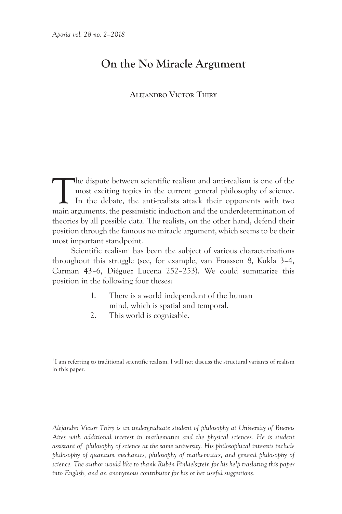# **On the No Miracle Argument**

# **Alejandro Victor Thiry**

The dispute between scientific realism and anti-realism is one of the most exciting topics in the current general philosophy of science.<br>In the debate, the anti-realists attack their opponents with two main arguments the p most exciting topics in the current general philosophy of science. In the debate, the anti-realists attack their opponents with two main arguments, the pessimistic induction and the underdetermination of theories by all possible data. The realists, on the other hand, defend their position through the famous no miracle argument, which seems to be their most important standpoint.

Scientific realism<sup>1</sup> has been the subject of various characterizations throughout this struggle (see, for example, van Fraassen 8, Kukla 3–4, Carman 43–6, Diéguez Lucena 252–253). We could summarize this position in the following four theses:

- 1. There is a world independent of the human mind, which is spatial and temporal.
- 2. This world is cognizable.

<sup>1</sup>I am referring to traditional scientific realism. I will not discuss the structural variants of realism in this paper.

*Alejandro Victor Thiry is an undergraduate student of philosophy at University of Buenos Aires with additional interest in mathematics and the physical sciences. He is student assistant of philosophy of science at the same university. His philosophical interests include philosophy of quantum mechanics, philosophy of mathematics, and general philosophy of science. The author would like to thank Rubén Finkielsztein for his help traslating this paper into English, and an anonymous contributor for his or her useful suggestions.*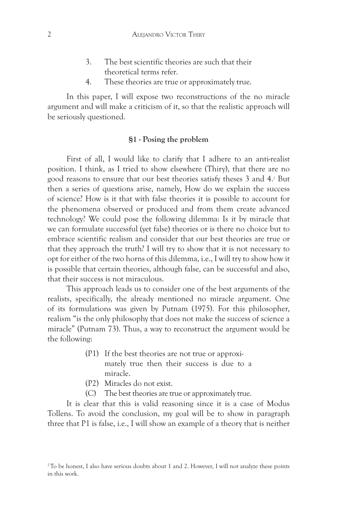- 3. The best scientific theories are such that their theoretical terms refer.
- 4. These theories are true or approximately true.

In this paper, I will expose two reconstructions of the no miracle argument and will make a criticism of it, so that the realistic approach will be seriously questioned.

## **§1 - Posing the problem**

First of all, I would like to clarify that I adhere to an anti-realist position. I think, as I tried to show elsewhere (Thiry), that there are no good reasons to ensure that our best theories satisfy theses 3 and 4.2 But then a series of questions arise, namely, How do we explain the success of science? How is it that with false theories it is possible to account for the phenomena observed or produced and from them create advanced technology? We could pose the following dilemma: Is it by miracle that we can formulate successful (yet false) theories or is there no choice but to embrace scientific realism and consider that our best theories are true or that they approach the truth? I will try to show that it is not necessary to opt for either of the two horns of this dilemma, i.e., I will try to show how it is possible that certain theories, although false, can be successful and also, that their success is not miraculous.

This approach leads us to consider one of the best arguments of the realists, specifically, the already mentioned no miracle argument. One of its formulations was given by Putnam (1975). For this philosopher, realism "is the only philosophy that does not make the success of science a miracle" (Putnam 73). Thus, a way to reconstruct the argument would be the following:

- (P1) If the best theories are not true or approximately true then their success is due to a miracle.
- (P2) Miracles do not exist.
- (C) The best theories are true or approximately true.

It is clear that this is valid reasoning since it is a case of Modus Tollens. To avoid the conclusion, my goal will be to show in paragraph three that P1 is false, i.e., I will show an example of a theory that is neither

<sup>&</sup>lt;sup>2</sup>To be honest, I also have serious doubts about 1 and 2. However, I will not analyze these points in this work.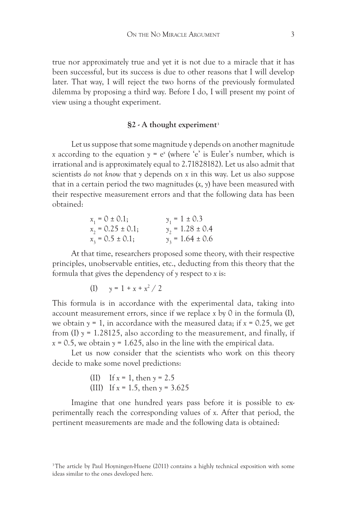true nor approximately true and yet it is not due to a miracle that it has been successful, but its success is due to other reasons that I will develop later. That way, I will reject the two horns of the previously formulated dilemma by proposing a third way. Before I do, I will present my point of view using a thought experiment.

#### **§2 - A thought experiment3**

Let us suppose that some magnitude y depends on another magnitude *x* according to the equation  $y = e^x$  (where 'e' is Euler's number, which is irrational and is approximately equal to 2.71828182). Let us also admit that scientists *do not know* that *y* depends on *x* in this way. Let us also suppose that in a certain period the two magnitudes (*x*, *y*) have been measured with their respective measurement errors and that the following data has been obtained:

| $x_1 = 0 \pm 0.1;$    | $y_1 = 1 \pm 0.3$    |
|-----------------------|----------------------|
| $x_2 = 0.25 \pm 0.1;$ | $y_2 = 1.28 \pm 0.4$ |
| $x_3 = 0.5 \pm 0.1;$  | $y_3 = 1.64 \pm 0.6$ |

At that time, researchers proposed some theory, with their respective principles, unobservable entities, etc., deducting from this theory that the formula that gives the dependency of *y* respect to *x* is:

(I) 
$$
y = 1 + x + x^2 / 2
$$

This formula is in accordance with the experimental data, taking into account measurement errors, since if we replace *x* by 0 in the formula (I), we obtain  $y = 1$ , in accordance with the measured data; if  $x = 0.25$ , we get from  $(I)$   $\gamma$  = 1.28125, also according to the measurement, and finally, if  $x = 0.5$ , we obtain  $y = 1.625$ , also in the line with the empirical data.

Let us now consider that the scientists who work on this theory decide to make some novel predictions:

> (II) If *x* = 1, then *y* = 2.5 (III) If *x* = 1.5, then *y* = 3.625

Imagine that one hundred years pass before it is possible to experimentally reach the corresponding values of *x*. After that period, the pertinent measurements are made and the following data is obtained:

<sup>&</sup>lt;sup>3</sup>The article by Paul Hoyningen-Huene (2011) contains a highly technical exposition with some ideas similar to the ones developed here.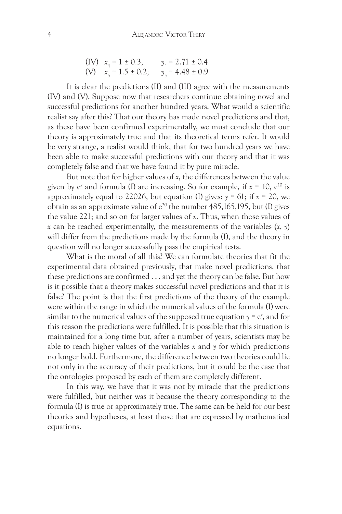(IV) 
$$
x_4 = 1 \pm 0.3
$$
;  $y_4 = 2.71 \pm 0.4$   
(V)  $x_5 = 1.5 \pm 0.2$ ;  $y_5 = 4.48 \pm 0.9$ 

It is clear the predictions (II) and (III) agree with the measurements (IV) and (V). Suppose now that researchers continue obtaining novel and successful predictions for another hundred years. What would a scientific realist say after this? That our theory has made novel predictions and that, as these have been confirmed experimentally, we must conclude that our theory is approximately true and that its theoretical terms refer. It would be very strange, a realist would think, that for two hundred years we have been able to make successful predictions with our theory and that it was completely false and that we have found it by pure miracle.

But note that for higher values of *x*, the differences between the value given by e*<sup>x</sup>* and formula (I) are increasing. So for example, if *x* = 10, e10 is approximately equal to 22026, but equation (I) gives:  $\gamma = 61$ ; if  $x = 20$ , we obtain as an approximate value of  $e^{20}$  the number 485,165,195, but (I) gives the value 221; and so on for larger values of *x*. Thus, when those values of *x* can be reached experimentally, the measurements of the variables (*x*, *y*) will differ from the predictions made by the formula (I), and the theory in question will no longer successfully pass the empirical tests.

What is the moral of all this? We can formulate theories that fit the experimental data obtained previously, that make novel predictions, that these predictions are confirmed . . . and yet the theory can be false. But how is it possible that a theory makes successful novel predictions and that it is false? The point is that the first predictions of the theory of the example were within the range in which the numerical values of the formula (I) were similar to the numerical values of the supposed true equation  $y = e^x$ , and for this reason the predictions were fulfilled. It is possible that this situation is maintained for a long time but, after a number of years, scientists may be able to reach higher values of the variables *x* and *y* for which predictions no longer hold. Furthermore, the difference between two theories could lie not only in the accuracy of their predictions, but it could be the case that the ontologies proposed by each of them are completely different.

In this way, we have that it was not by miracle that the predictions were fulfilled, but neither was it because the theory corresponding to the formula (I) is true or approximately true. The same can be held for our best theories and hypotheses, at least those that are expressed by mathematical equations.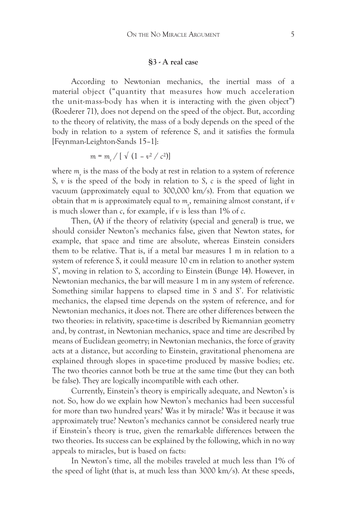#### **§3 - A real case**

According to Newtonian mechanics, the inertial mass of a material object ("quantity that measures how much acceleration the unit-mass-body has when it is interacting with the given object") (Roederer 71), does not depend on the speed of the object. But, according to the theory of relativity, the mass of a body depends on the speed of the body in relation to a system of reference S, and it satisfies the formula [Feynman-Leighton-Sands 15–1]:

$$
m = m_{r} / [ \sqrt{(1 - v^2 / c^2)}]
$$

where  $m_{\rm r}^{\rm}$  is the mass of the body at rest in relation to a system of reference *S*, *v* is the speed of the body in relation to *S*, *c* is the speed of light in vacuum (approximately equal to 300,000 km/s). From that equation we obtain that  $m$  is approximately equal to  $m_{\nu}$ , remaining almost constant, if  $v$ is much slower than *c*, for example, if *v* is less than 1% of *c*.

Then, (A) if the theory of relativity (special and general) is true, we should consider Newton's mechanics false, given that Newton states, for example, that space and time are absolute, whereas Einstein considers them to be relative. That is, if a metal bar measures 1 m in relation to a system of reference *S*, it could measure 10 cm in relation to another system *S*', moving in relation to *S*, according to Einstein (Bunge 14). However, in Newtonian mechanics, the bar will measure 1 m in any system of reference. Something similar happens to elapsed time in *S* and *S*'. For relativistic mechanics, the elapsed time depends on the system of reference, and for Newtonian mechanics, it does not. There are other differences between the two theories: in relativity, space-time is described by Riemannian geometry and, by contrast, in Newtonian mechanics, space and time are described by means of Euclidean geometry; in Newtonian mechanics, the force of gravity acts at a distance, but according to Einstein, gravitational phenomena are explained through slopes in space-time produced by massive bodies; etc. The two theories cannot both be true at the same time (but they can both be false). They are logically incompatible with each other.

Currently, Einstein's theory is empirically adequate, and Newton's is not. So, how do we explain how Newton's mechanics had been successful for more than two hundred years? Was it by miracle? Was it because it was approximately true? Newton's mechanics cannot be considered nearly true if Einstein's theory is true, given the remarkable differences between the two theories. Its success can be explained by the following, which in no way appeals to miracles, but is based on facts:

In Newton's time, all the mobiles traveled at much less than 1% of the speed of light (that is, at much less than 3000 km/s). At these speeds,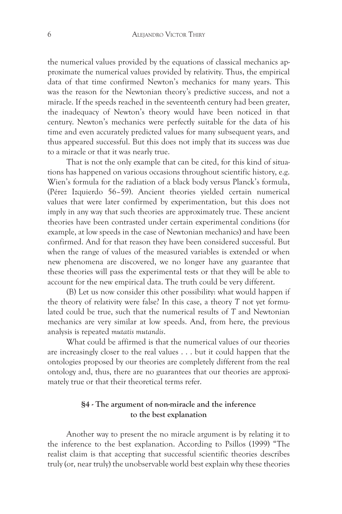the numerical values provided by the equations of classical mechanics approximate the numerical values provided by relativity. Thus, the empirical data of that time confirmed Newton's mechanics for many years. This was the reason for the Newtonian theory's predictive success, and not a miracle. If the speeds reached in the seventeenth century had been greater, the inadequacy of Newton's theory would have been noticed in that century. Newton's mechanics were perfectly suitable for the data of his time and even accurately predicted values for many subsequent years, and thus appeared successful. But this does not imply that its success was due to a miracle or that it was nearly true.

That is not the only example that can be cited, for this kind of situations has happened on various occasions throughout scientific history, e.g. Wien's formula for the radiation of a black body versus Planck's formula, (Pérez Izquierdo 56–59). Ancient theories yielded certain numerical values that were later confirmed by experimentation, but this does not imply in any way that such theories are approximately true. These ancient theories have been contrasted under certain experimental conditions (for example, at low speeds in the case of Newtonian mechanics) and have been confirmed. And for that reason they have been considered successful. But when the range of values of the measured variables is extended or when new phenomena are discovered, we no longer have any guarantee that these theories will pass the experimental tests or that they will be able to account for the new empirical data. The truth could be very different.

(B) Let us now consider this other possibility: what would happen if the theory of relativity were false? In this case, a theory *T* not yet formulated could be true, such that the numerical results of *T* and Newtonian mechanics are very similar at low speeds. And, from here, the previous analysis is repeated *mutatis mutandis*.

What could be affirmed is that the numerical values of our theories are increasingly closer to the real values . . . but it could happen that the ontologies proposed by our theories are completely different from the real ontology and, thus, there are no guarantees that our theories are approximately true or that their theoretical terms refer.

# **§4 - The argument of non-miracle and the inference to the best explanation**

Another way to present the no miracle argument is by relating it to the inference to the best explanation. According to Psillos (1999) "The realist claim is that accepting that successful scientific theories describes truly (or, near truly) the unobservable world best explain why these theories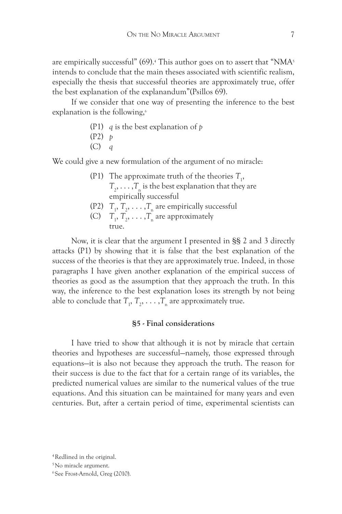are empirically successful" (69).<sup>4</sup> This author goes on to assert that "NMA<sup>5</sup> intends to conclude that the main theses associated with scientific realism, especially the thesis that successful theories are approximately true, offer the best explanation of the explanandum"(Psillos 69).

If we consider that one way of presenting the inference to the best explanation is the following,<sup>6</sup>

- (P1) *q* is the best explanation of *p*
- (P2) *p*
- (C) *q*

We could give a new formulation of the argument of no miracle:

- (P1) The approximate truth of the theories  $T_{1}$ ,  $T_2, \ldots, T_n$  is the best explanation that they are empirically successful
- (P2)  $T_1, T_2, \ldots, T_n$  are empirically successful
- (C)  $T_1, T_2, \ldots, T_n$  are approximately true.

Now, it is clear that the argument I presented in §§ 2 and 3 directly attacks (P1) by showing that it is false that the best explanation of the success of the theories is that they are approximately true. Indeed, in those paragraphs I have given another explanation of the empirical success of theories as good as the assumption that they approach the truth. In this way, the inference to the best explanation loses its strength by not being able to conclude that  $T_1, T_2, \ldots, T_n$  are approximately true.

## **§5 - Final considerations**

I have tried to show that although it is not by miracle that certain theories and hypotheses are successful—namely, those expressed through equations—it is also not because they approach the truth. The reason for their success is due to the fact that for a certain range of its variables, the predicted numerical values are similar to the numerical values of the true equations. And this situation can be maintained for many years and even centuries. But, after a certain period of time, experimental scientists can

<sup>4</sup>Redlined in the original.

<sup>5</sup>No miracle argument.

<sup>6</sup>See Frost-Arnold, Greg (2010).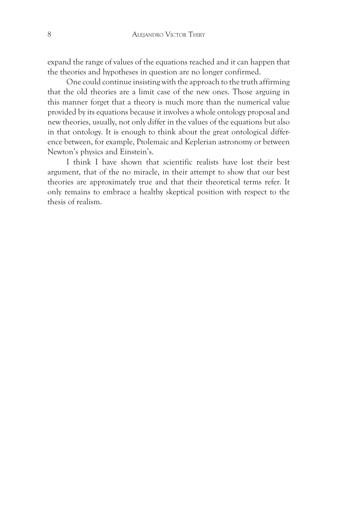expand the range of values of the equations reached and it can happen that the theories and hypotheses in question are no longer confirmed.

One could continue insisting with the approach to the truth affirming that the old theories are a limit case of the new ones. Those arguing in this manner forget that a theory is much more than the numerical value provided by its equations because it involves a whole ontology proposal and new theories, usually, not only differ in the values of the equations but also in that ontology. It is enough to think about the great ontological difference between, for example, Ptolemaic and Keplerian astronomy or between Newton's physics and Einstein's.

I think I have shown that scientific realists have lost their best argument, that of the no miracle, in their attempt to show that our best theories are approximately true and that their theoretical terms refer. It only remains to embrace a healthy skeptical position with respect to the thesis of realism.